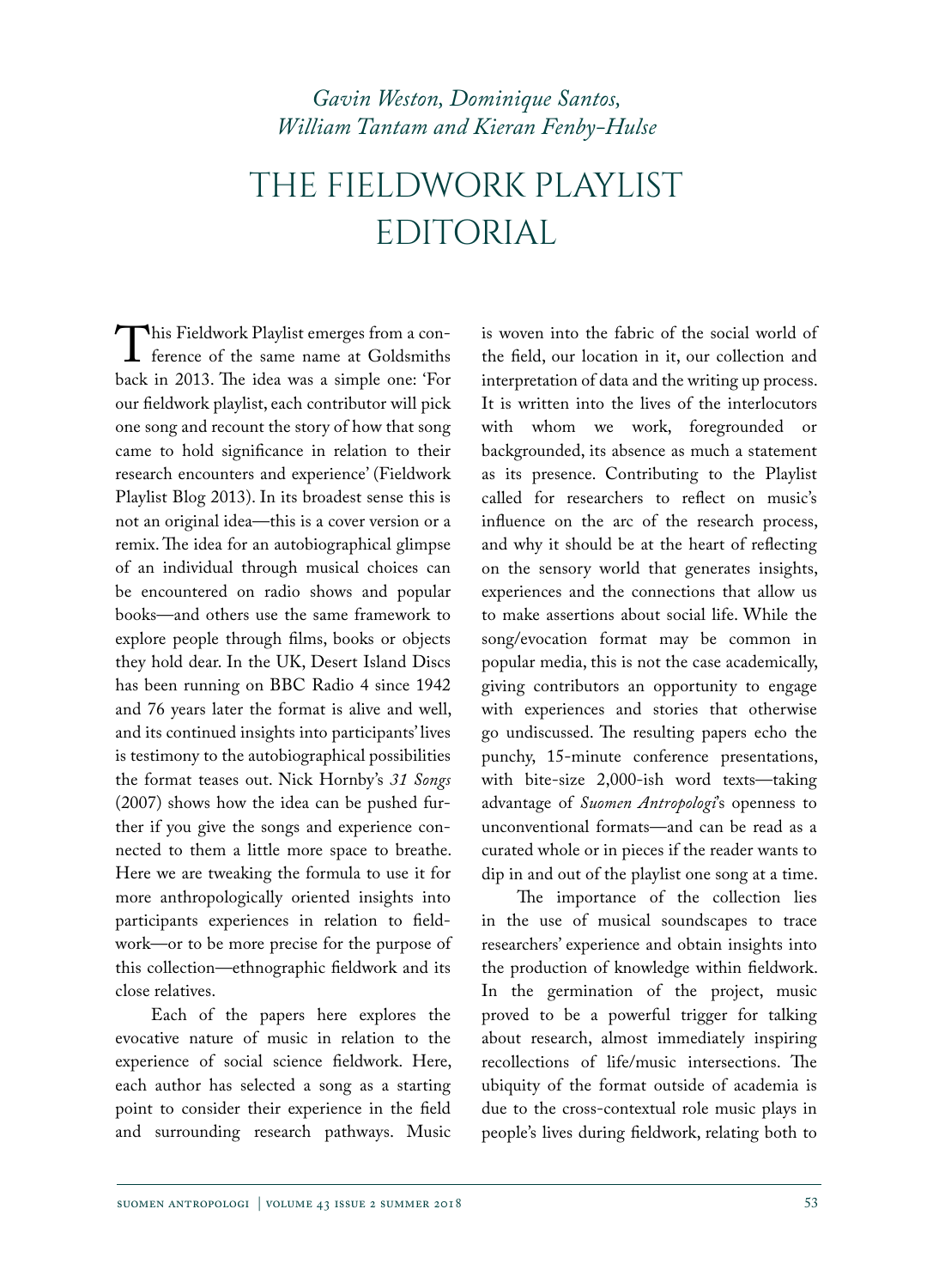# *Gavin Weston, Dominique Santos, William Tantam and Kieran Fenby-Hulse*

# The Fieldwork Playlist **EDITORIAL**

This Fieldwork Playlist emerges from a con-<br>ference of the same name at Goldsmiths<br>back in 2013. The idea was a simple one: 'For ference of the same name at Goldsmiths back in 2013. The idea was a simple one: 'For our fieldwork playlist, each contributor will pick one song and recount the story of how that song came to hold significance in relation to their research encounters and experience' (Fieldwork Playlist Blog 2013). In its broadest sense this is not an original idea—this is a cover version or a remix. The idea for an autobiographical glimpse of an individual through musical choices can be encountered on radio shows and popular books—and others use the same framework to explore people through films, books or objects they hold dear. In the UK, Desert Island Discs has been running on BBC Radio 4 since 1942 and 76 years later the format is alive and well, and its continued insights into participants' lives is testimony to the autobiographical possibilities the format teases out. Nick Hornby's *31 Songs*  (2007) shows how the idea can be pushed further if you give the songs and experience connected to them a little more space to breathe. Here we are tweaking the formula to use it for more anthropologically oriented insights into participants experiences in relation to fieldwork—or to be more precise for the purpose of this collection—ethnographic fieldwork and its close relatives.

Each of the papers here explores the evocative nature of music in relation to the experience of social science fieldwork. Here, each author has selected a song as a starting point to consider their experience in the field and surrounding research pathways. Music

is woven into the fabric of the social world of the field, our location in it, our collection and interpretation of data and the writing up process. It is written into the lives of the interlocutors with whom we work, foregrounded or backgrounded, its absence as much a statement as its presence. Contributing to the Playlist called for researchers to reflect on music's influence on the arc of the research process, and why it should be at the heart of reflecting on the sensory world that generates insights, experiences and the connections that allow us to make assertions about social life. While the song/evocation format may be common in popular media, this is not the case academically, giving contributors an opportunity to engage with experiences and stories that otherwise go undiscussed. The resulting papers echo the punchy, 15-minute conference presentations, with bite-size 2,000-ish word texts—taking advantage of *Suomen Antropologi*'s openness to unconventional formats—and can be read as a curated whole or in pieces if the reader wants to dip in and out of the playlist one song at a time.

The importance of the collection lies in the use of musical soundscapes to trace researchers' experience and obtain insights into the production of knowledge within fieldwork. In the germination of the project, music proved to be a powerful trigger for talking about research, almost immediately inspiring recollections of life/music intersections. The ubiquity of the format outside of academia is due to the cross-contextual role music plays in people's lives during fieldwork, relating both to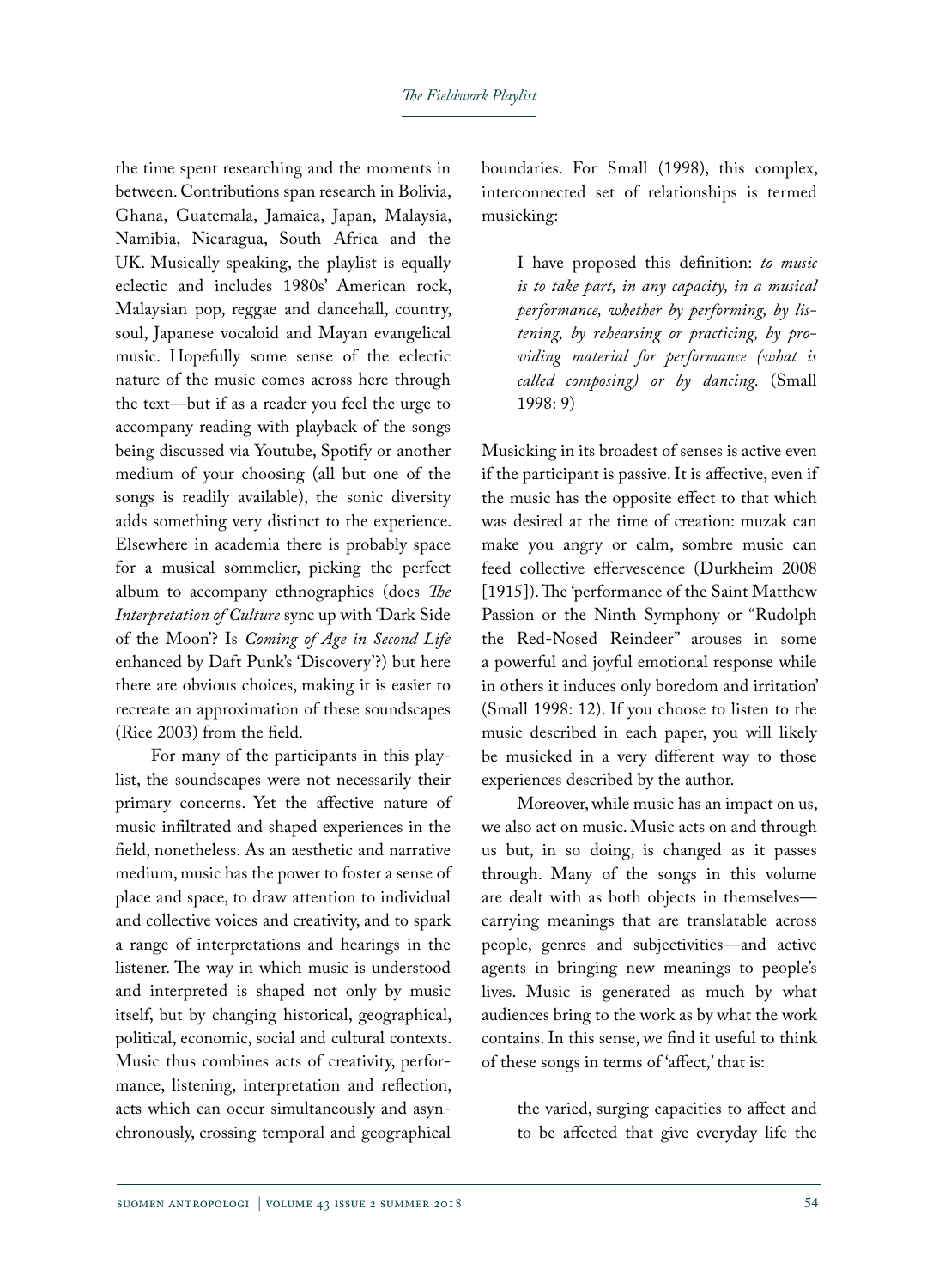the time spent researching and the moments in between. Contributions span research in Bolivia, Ghana, Guatemala, Jamaica, Japan, Malaysia, Namibia, Nicaragua, South Africa and the UK. Musically speaking, the playlist is equally eclectic and includes 1980s' American rock, Malaysian pop, reggae and dancehall, country, soul, Japanese vocaloid and Mayan evangelical music. Hopefully some sense of the eclectic nature of the music comes across here through the text—but if as a reader you feel the urge to accompany reading with playback of the songs being discussed via Youtube, Spotify or another medium of your choosing (all but one of the songs is readily available), the sonic diversity adds something very distinct to the experience. Elsewhere in academia there is probably space for a musical sommelier, picking the perfect album to accompany ethnographies (does *The Interpretation of Culture* sync up with 'Dark Side of the Moon'? Is *Coming of Age in Second Life* enhanced by Daft Punk's 'Discovery'?) but here there are obvious choices, making it is easier to recreate an approximation of these soundscapes (Rice 2003) from the field.

For many of the participants in this playlist, the soundscapes were not necessarily their primary concerns. Yet the affective nature of music infiltrated and shaped experiences in the field, nonetheless. As an aesthetic and narrative medium, music has the power to foster a sense of place and space, to draw attention to individual and collective voices and creativity, and to spark a range of interpretations and hearings in the listener. The way in which music is understood and interpreted is shaped not only by music itself, but by changing historical, geographical, political, economic, social and cultural contexts. Music thus combines acts of creativity, performance, listening, interpretation and reflection, acts which can occur simultaneously and asynchronously, crossing temporal and geographical

boundaries. For Small (1998), this complex, interconnected set of relationships is termed musicking:

> I have proposed this definition: *to music is to take part, in any capacity, in a musical performance, whether by performing, by listening, by rehearsing or practicing, by providing material for performance (what is called composing) or by dancing.* (Small 1998: 9)

Musicking in its broadest of senses is active even if the participant is passive. It is affective, even if the music has the opposite effect to that which was desired at the time of creation: muzak can make you angry or calm, sombre music can feed collective effervescence (Durkheim 2008 [1915]). The 'performance of the Saint Matthew Passion or the Ninth Symphony or "Rudolph the Red-Nosed Reindeer" arouses in some a powerful and joyful emotional response while in others it induces only boredom and irritation' (Small 1998: 12). If you choose to listen to the music described in each paper, you will likely be musicked in a very different way to those experiences described by the author.

Moreover, while music has an impact on us, we also act on music. Music acts on and through us but, in so doing, is changed as it passes through. Many of the songs in this volume are dealt with as both objects in themselves carrying meanings that are translatable across people, genres and subjectivities—and active agents in bringing new meanings to people's lives. Music is generated as much by what audiences bring to the work as by what the work contains. In this sense, we find it useful to think of these songs in terms of 'affect,' that is:

> the varied, surging capacities to affect and to be affected that give everyday life the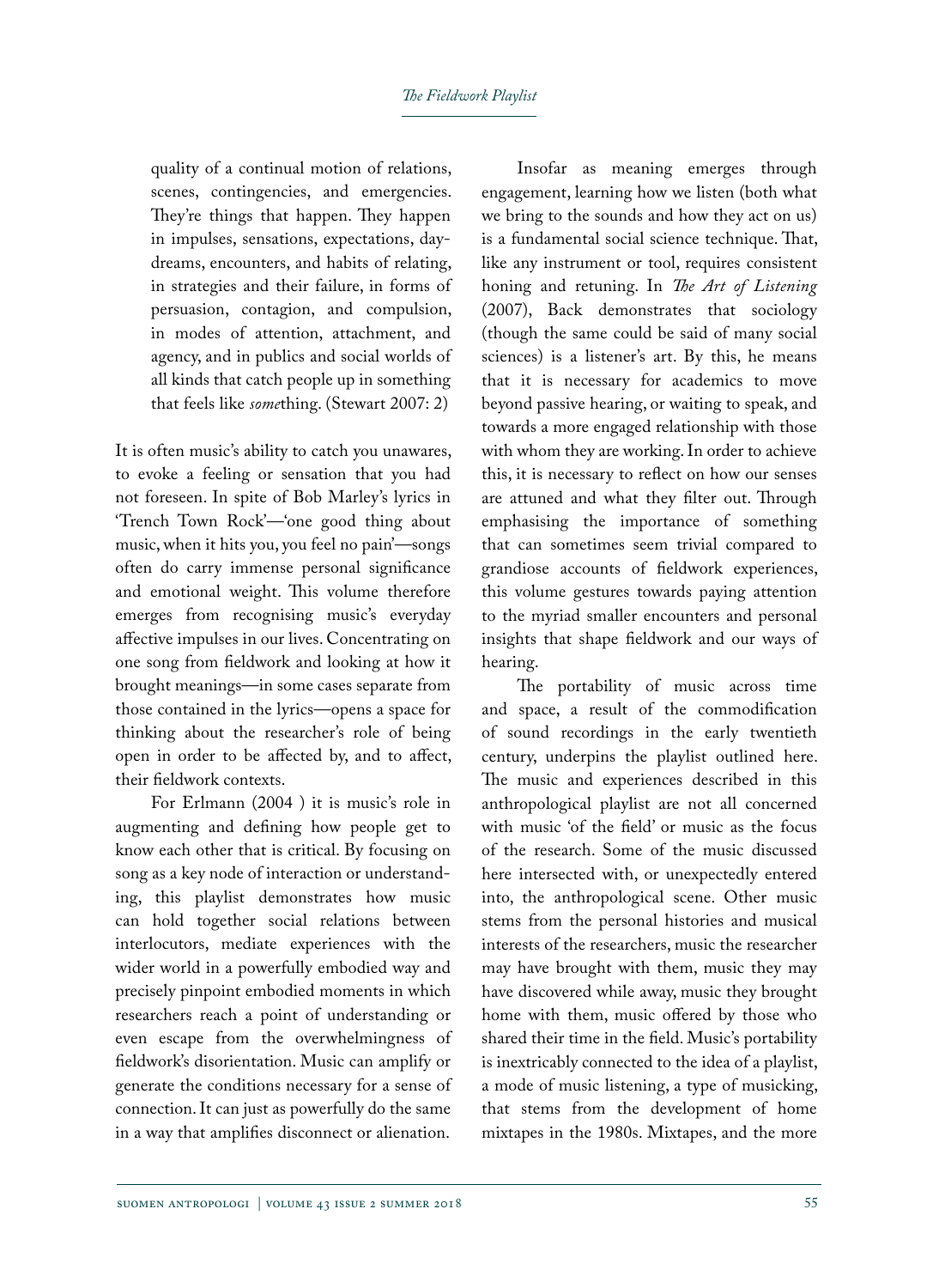quality of a continual motion of relations, scenes, contingencies, and emergencies. They're things that happen. They happen in impulses, sensations, expectations, daydreams, encounters, and habits of relating, in strategies and their failure, in forms of persuasion, contagion, and compulsion, in modes of attention, attachment, and agency, and in publics and social worlds of all kinds that catch people up in something that feels like *some*thing. (Stewart 2007: 2)

It is often music's ability to catch you unawares, to evoke a feeling or sensation that you had not foreseen. In spite of Bob Marley's lyrics in 'Trench Town Rock'—'one good thing about music, when it hits you, you feel no pain'—songs often do carry immense personal significance and emotional weight. This volume therefore emerges from recognising music's everyday affective impulses in our lives. Concentrating on one song from fieldwork and looking at how it brought meanings—in some cases separate from those contained in the lyrics—opens a space for thinking about the researcher's role of being open in order to be affected by, and to affect, their fieldwork contexts.

For Erlmann (2004 ) it is music's role in augmenting and defining how people get to know each other that is critical. By focusing on song as a key node of interaction or understanding, this playlist demonstrates how music can hold together social relations between interlocutors, mediate experiences with the wider world in a powerfully embodied way and precisely pinpoint embodied moments in which researchers reach a point of understanding or even escape from the overwhelmingness of fieldwork's disorientation. Music can amplify or generate the conditions necessary for a sense of connection. It can just as powerfully do the same in a way that amplifies disconnect or alienation.

Insofar as meaning emerges through engagement, learning how we listen (both what we bring to the sounds and how they act on us) is a fundamental social science technique. That, like any instrument or tool, requires consistent honing and retuning. In *The Art of Listening* (2007), Back demonstrates that sociology (though the same could be said of many social sciences) is a listener's art. By this, he means that it is necessary for academics to move beyond passive hearing, or waiting to speak, and towards a more engaged relationship with those with whom they are working. In order to achieve this, it is necessary to reflect on how our senses are attuned and what they filter out. Through emphasising the importance of something that can sometimes seem trivial compared to grandiose accounts of fieldwork experiences, this volume gestures towards paying attention to the myriad smaller encounters and personal insights that shape fieldwork and our ways of hearing.

The portability of music across time and space, a result of the commodification of sound recordings in the early twentieth century, underpins the playlist outlined here. The music and experiences described in this anthropological playlist are not all concerned with music 'of the field' or music as the focus of the research. Some of the music discussed here intersected with, or unexpectedly entered into, the anthropological scene. Other music stems from the personal histories and musical interests of the researchers, music the researcher may have brought with them, music they may have discovered while away, music they brought home with them, music offered by those who shared their time in the field. Music's portability is inextricably connected to the idea of a playlist, a mode of music listening, a type of musicking, that stems from the development of home mixtapes in the 1980s. Mixtapes, and the more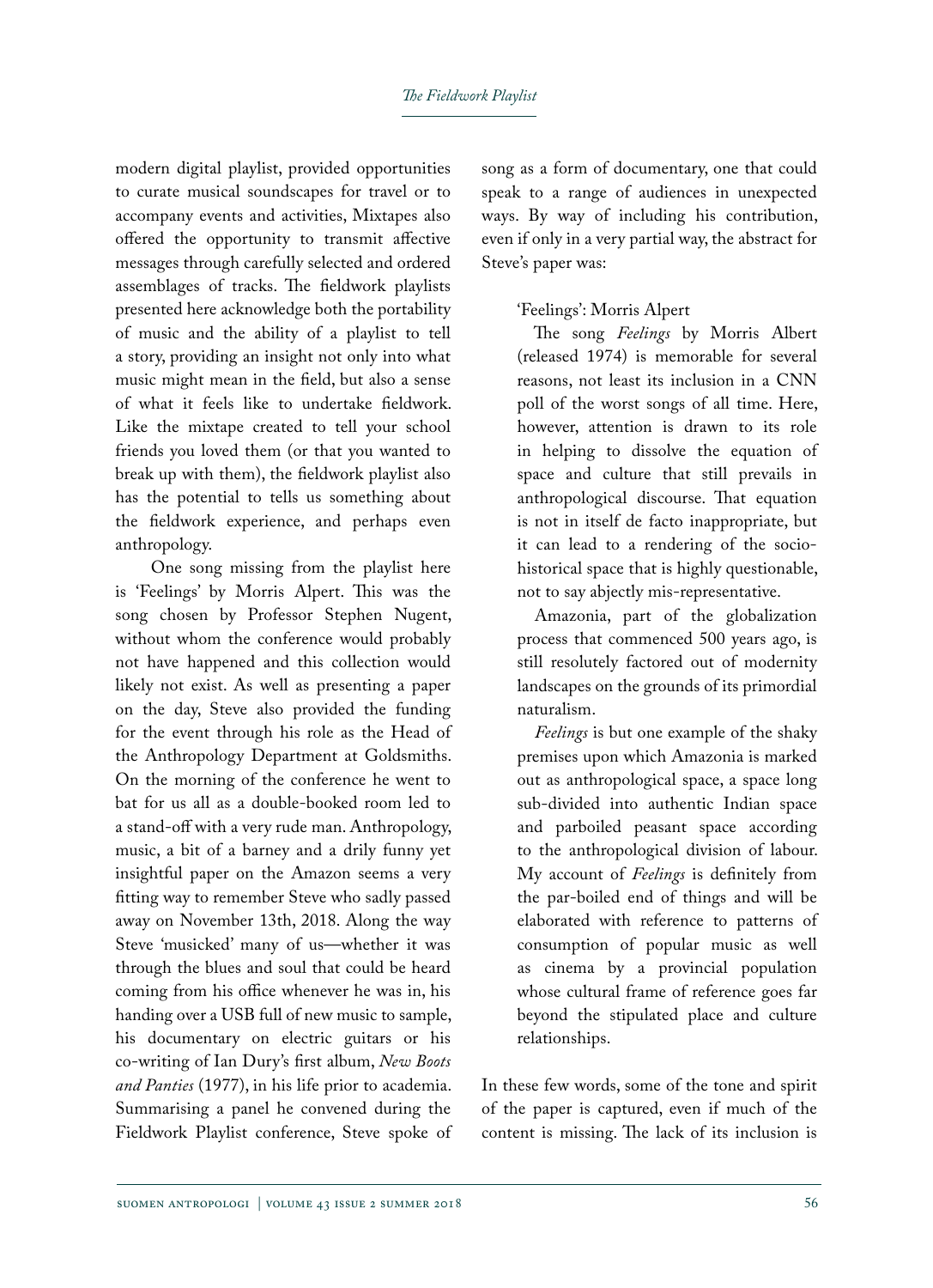#### *The Fieldwork Playlist*

modern digital playlist, provided opportunities to curate musical soundscapes for travel or to accompany events and activities, Mixtapes also offered the opportunity to transmit affective messages through carefully selected and ordered assemblages of tracks. The fieldwork playlists presented here acknowledge both the portability of music and the ability of a playlist to tell a story, providing an insight not only into what music might mean in the field, but also a sense of what it feels like to undertake fieldwork. Like the mixtape created to tell your school friends you loved them (or that you wanted to break up with them), the fieldwork playlist also has the potential to tells us something about the fieldwork experience, and perhaps even anthropology.

One song missing from the playlist here is 'Feelings' by Morris Alpert. This was the song chosen by Professor Stephen Nugent, without whom the conference would probably not have happened and this collection would likely not exist. As well as presenting a paper on the day, Steve also provided the funding for the event through his role as the Head of the Anthropology Department at Goldsmiths. On the morning of the conference he went to bat for us all as a double-booked room led to a stand-off with a very rude man. Anthropology, music, a bit of a barney and a drily funny yet insightful paper on the Amazon seems a very fitting way to remember Steve who sadly passed away on November 13th, 2018. Along the way Steve 'musicked' many of us—whether it was through the blues and soul that could be heard coming from his office whenever he was in, his handing over a USB full of new music to sample, his documentary on electric guitars or his co-writing of Ian Dury's first album, *New Boots and Panties* (1977), in his life prior to academia. Summarising a panel he convened during the Fieldwork Playlist conference, Steve spoke of

song as a form of documentary, one that could speak to a range of audiences in unexpected ways. By way of including his contribution, even if only in a very partial way, the abstract for Steve's paper was:

### 'Feelings': Morris Alpert

The song *Feelings* by Morris Albert (released 1974) is memorable for several reasons, not least its inclusion in a CNN poll of the worst songs of all time. Here, however, attention is drawn to its role in helping to dissolve the equation of space and culture that still prevails in anthropological discourse. That equation is not in itself de facto inappropriate, but it can lead to a rendering of the sociohistorical space that is highly questionable, not to say abjectly mis-representative.

Amazonia, part of the globalization process that commenced 500 years ago, is still resolutely factored out of modernity landscapes on the grounds of its primordial naturalism.

*Feelings* is but one example of the shaky premises upon which Amazonia is marked out as anthropological space, a space long sub-divided into authentic Indian space and parboiled peasant space according to the anthropological division of labour. My account of *Feelings* is definitely from the par-boiled end of things and will be elaborated with reference to patterns of consumption of popular music as well as cinema by a provincial population whose cultural frame of reference goes far beyond the stipulated place and culture relationships.

In these few words, some of the tone and spirit of the paper is captured, even if much of the content is missing. The lack of its inclusion is